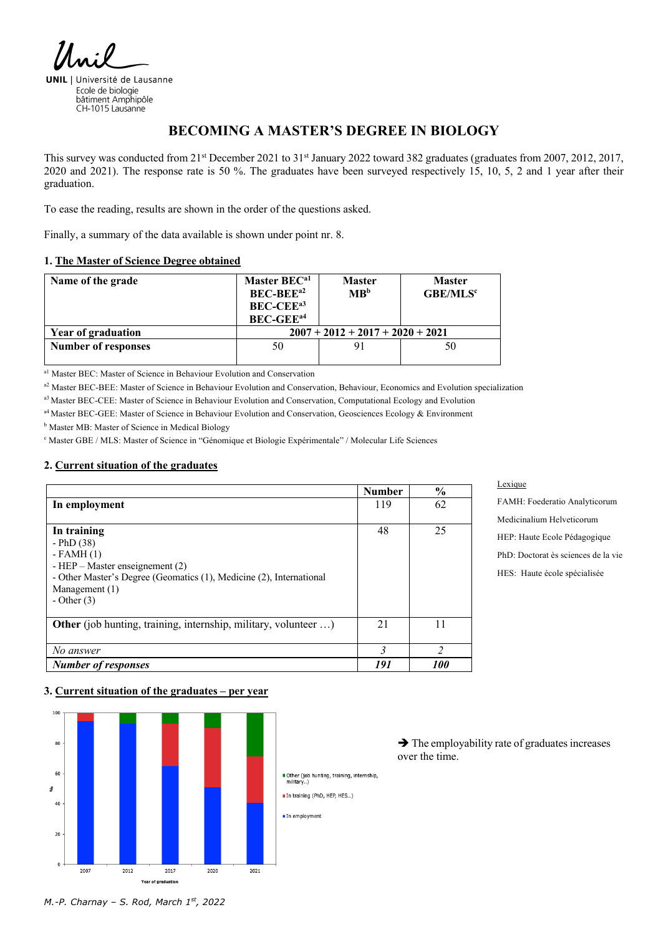**UNIL** | Université de Lausanne Ecole de biologie bâtiment Amphipôle CH-1015 Lausanne

# **BECOMING A MASTER'S DEGREE IN BIOLOGY**

This survey was conducted from 21<sup>st</sup> December 2021 to 31<sup>st</sup> January 2022 toward 382 graduates (graduates from 2007, 2012, 2017, 2020 and 2021). The response rate is 50 %. The graduates have been surveyed respectively 15, 10, 5, 2 and 1 year after their graduation.

To ease the reading, results are shown in the order of the questions asked.

Finally, a summary of the data available is shown under point nr. 8.

#### **1. The Master of Science Degree obtained**

| Name of the grade          | Master BEC <sup>a1</sup><br><b>BEC-BEE</b> <sup>a2</sup><br><b>BEC-CEE</b> <sup>a3</sup><br><b>BEC-GEE</b> <sup>a4</sup> | <b>Master</b><br>MB <sup>b</sup> | <b>Master</b><br><b>GBE/MLS<sup>c</sup></b> |  |  |
|----------------------------|--------------------------------------------------------------------------------------------------------------------------|----------------------------------|---------------------------------------------|--|--|
| <b>Year of graduation</b>  | $2007 + 2012 + 2017 + 2020 + 2021$                                                                                       |                                  |                                             |  |  |
| <b>Number of responses</b> | 50                                                                                                                       |                                  | 50                                          |  |  |

a1 Master BEC: Master of Science in Behaviour Evolution and Conservation

a<sup>2</sup> Master BEC-BEE: Master of Science in Behaviour Evolution and Conservation, Behaviour, Economics and Evolution specialization

a3 Master BEC-CEE: Master of Science in Behaviour Evolution and Conservation, Computational Ecology and Evolution

a4 Master BEC-GEE: Master of Science in Behaviour Evolution and Conservation, Geosciences Ecology & Environment

**b** Master MB: Master of Science in Medical Biology

<sup>c</sup> Master GBE / MLS: Master of Science in "Génomique et Biologie Expérimentale" / Molecular Life Sciences

### **2. Current situation of the graduates**

|                                                                     | <b>Number</b> | $\frac{6}{9}$ |
|---------------------------------------------------------------------|---------------|---------------|
| In employment                                                       | 119           | 62            |
|                                                                     |               |               |
| In training                                                         | 48            | 25            |
| $-$ PhD $(38)$                                                      |               |               |
| $-FAMH(1)$                                                          |               |               |
| - HEP $-$ Master enseignement (2)                                   |               |               |
| - Other Master's Degree (Geomatics (1), Medicine (2), International |               |               |
| Management (1)                                                      |               |               |
| - Other $(3)$                                                       |               |               |
|                                                                     |               |               |
| Other (job hunting, training, internship, military, volunteer )     | 21            | 11            |
|                                                                     |               |               |
| No answer                                                           | $\mathbf{3}$  | C             |
| <b>Number of responses</b>                                          | 191           | 100           |

# FAMH: Foederatio Analyticorum Medicinalium Helveticorum HEP: Haute Ecole Pédagogique PhD: Doctorat ès sciences de la vie HES: Haute école spécialisée

#### **3. Current situation of the graduates – per year**



 $\rightarrow$  The employability rate of graduates increases over the time.

Lexique

*M.-P. Charnay – S. Rod, March 1st, 2022*